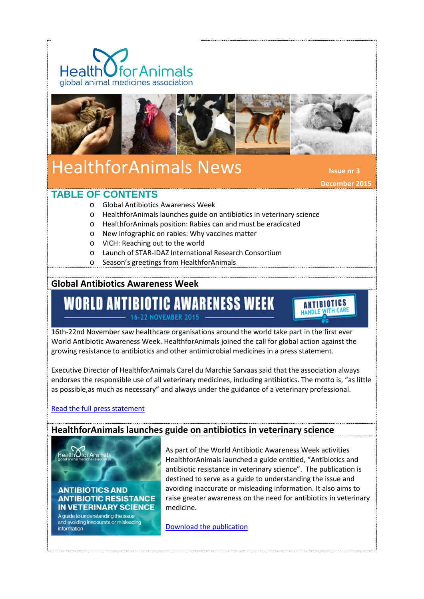



# HealthforAnimals News **Issue nr 3**

 **December 2015**

## **TABLE OF CONTENTS**

- o Global Antibiotics Awareness Week
- o HealthforAnimals launches guide on antibiotics in veterinary science
- o HealthforAnimals position: Rabies can and must be eradicated
- o New infographic on rabies: Why vaccines matter
- o VICH: Reaching out to the world
- o Launch of STAR-IDAZ International Research Consortium
- o Season's greetings from HealthforAnimals

## **Global Antibiotics Awareness Week**

## **WORLD ANTIBIOTIC AWARENESS WEEK** 16-22 NOVEMBER 2015



16th-22nd November saw healthcare organisations around the world take part in the first ever World Antibiotic Awareness Week. HealthforAnimals joined the call for global action against the growing resistance to antibiotics and other antimicrobial medicines in a press statement.

Executive Director of HealthforAnimals Carel du Marchie Sarvaas said that the association always endorses the responsible use of all veterinary medicines, including antibiotics. The motto is, "as little as possible,as much as necessary" and always under the guidance of a veterinary professional.

#### [Read the full press statement](http://healthforanimals.org/healthforanimals-promote-the-responsible-use-of-antibiotics/)

Health Ofor Anima

#### **HealthforAnimals launches guide on antibiotics in veterinary science**

**ANTIBIOTICS AND ANTIBIOTIC RESISTANCE IN VETERINARY SCIENCE** 

A guide to understanding the issue<br>and avoiding inaccurate or misleading information

As part of the World Antibiotic Awareness Week activities HealthforAnimals launched a guide entitled, "Antibiotics and antibiotic resistance in veterinary science". The publication is destined to serve as a guide to understanding the issue and avoiding inaccurate or misleading information. It also aims to raise greater awareness on the need for antibiotics in veterinary medicine.

[Download the publication](http://healthforanimals.org/wp-content/files_mf/1445860254HealthforAnimalsAntibioticsGuidetoUnderstanding.pdf)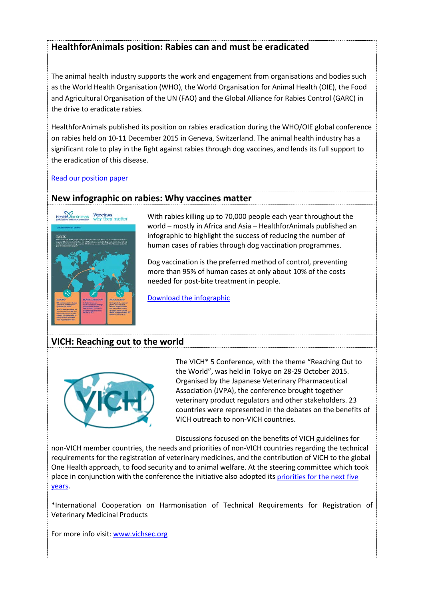## **HealthforAnimals position: Rabies can and must be eradicated**

The animal health industry supports the work and engagement from organisations and bodies such as the World Health Organisation (WHO), the World Organisation for Animal Health (OIE), the Food and Agricultural Organisation of the UN (FAO) and the Global Alliance for Rabies Control (GARC) in the drive to eradicate rabies.

HealthforAnimals published its position on rabies eradication during the WHO/OIE global conference on rabies held on 10-11 December 2015 in Geneva, Switzerland. The animal health industry has a significant role to play in the fight against rabies through dog vaccines, and lends its full support to the eradication of this disease.

[Read our position paper](http://healthforanimals.org/healthforanimals-position-on-rabies-eradication-rabies-can-and-must-be-eradicated-2/)

#### **New infographic on rabies: Why vaccines matter**



With rabies killing up to 70,000 people each year throughout the world – mostly in Africa and Asia – HealthforAnimals published an infographic to highlight the success of reducing the number of human cases of rabies through dog vaccination programmes.

Dog vaccination is the preferred method of control, preventing more than 95% of human cases at only about 10% of the costs needed for post-bite treatment in people.

[Download the infographic](http://healthforanimals.org/infographic-on-rabies-why-vaccines-matter/)

## **VICH: Reaching out to the world**



The VICH\* 5 Conference, with the theme "Reaching Out to the World", was held in Tokyo on 28-29 October 2015. Organised by the Japanese Veterinary Pharmaceutical Association (JVPA), the conference brought together veterinary product regulators and other stakeholders. 23 countries were represented in the debates on the benefits of VICH outreach to non-VICH countries.

Discussions focused on the benefits of VICH guidelines for

non-VICH member countries, the needs and priorities of non-VICH countries regarding the technical requirements for the registration of veterinary medicines, and the contribution of VICH to the global One Health approach, to food security and to animal welfare. At the steering committee which took place in conjunction with the conference the initiative also adopted its [priorities for the next five](http://www.vichsec.org/component/attachments/attachments/1264.html?task=attachment)  [years.](http://www.vichsec.org/component/attachments/attachments/1264.html?task=attachment)

\*International Cooperation on Harmonisation of Technical Requirements for Registration of Veterinary Medicinal Products

For more info visit: www.vichsec.org